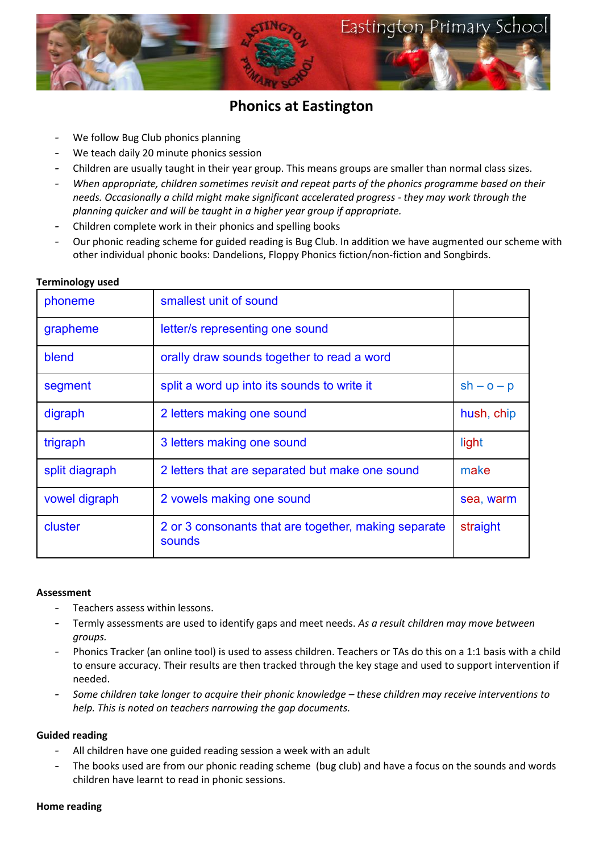

# **Phonics at Eastington**

- We follow Bug Club phonics planning
- We teach daily 20 minute phonics session
- Children are usually taught in their year group. This means groups are smaller than normal class sizes.
- *When appropriate, children sometimes revisit and repeat parts of the phonics programme based on their needs. Occasionally a child might make significant accelerated progress - they may work through the planning quicker and will be taught in a higher year group if appropriate.*
- Children complete work in their phonics and spelling books
- Our phonic reading scheme for guided reading is Bug Club. In addition we have augmented our scheme with other individual phonic books: Dandelions, Floppy Phonics fiction/non-fiction and Songbirds.

| phoneme        | smallest unit of sound                                         |              |
|----------------|----------------------------------------------------------------|--------------|
| grapheme       | letter/s representing one sound                                |              |
| blend          | orally draw sounds together to read a word                     |              |
| segment        | split a word up into its sounds to write it                    | $sh - o - p$ |
| digraph        | 2 letters making one sound                                     | hush, chip   |
| trigraph       | 3 letters making one sound                                     | light        |
| split diagraph | 2 letters that are separated but make one sound                | make         |
| vowel digraph  | 2 vowels making one sound                                      | sea, warm    |
| cluster        | 2 or 3 consonants that are together, making separate<br>sounds | straight     |

### **Terminology used**

#### **Assessment**

- Teachers assess within lessons.
- Termly assessments are used to identify gaps and meet needs. *As a result children may move between groups.*
- Phonics Tracker (an online tool) is used to assess children. Teachers or TAs do this on a 1:1 basis with a child to ensure accuracy. Their results are then tracked through the key stage and used to support intervention if needed.
- *Some children take longer to acquire their phonic knowledge – these children may receive interventions to help. This is noted on teachers narrowing the gap documents.*

## **Guided reading**

- All children have one guided reading session a week with an adult
- The books used are from our phonic reading scheme (bug club) and have a focus on the sounds and words children have learnt to read in phonic sessions.

#### **Home reading**